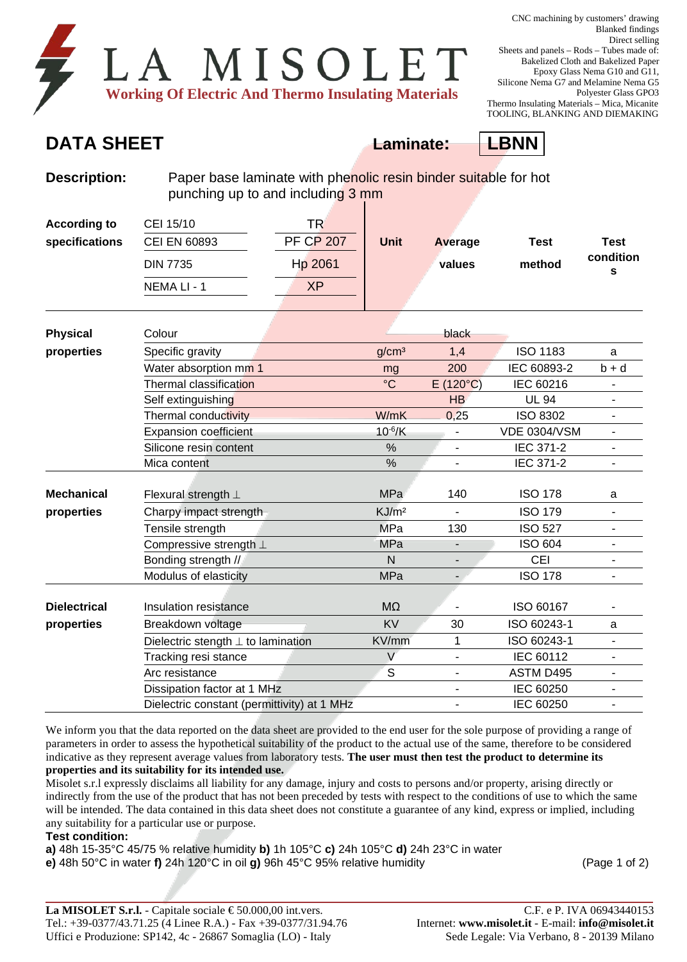| LA MISOLET                                                 |  |  |  |
|------------------------------------------------------------|--|--|--|
| <b>Working Of Electric And Thermo Insulating Materials</b> |  |  |  |

## **DATA SHEET Laminate: LBNN**



**Description:** Paper base laminate with phenolic resin binder suitable for hot punching up to and including 3 mm

| <b>According to</b><br>specifications | CEI 15/10<br><b>CEI EN 60893</b> | TR<br><b>PF CP 207</b> | <b>Unit</b> | Average | Test   | <b>Test</b> |
|---------------------------------------|----------------------------------|------------------------|-------------|---------|--------|-------------|
|                                       | <b>DIN 7735</b>                  | Hp 2061                |             | values  | method | condition   |
|                                       | NEMA LI - 1                      | <b>XP</b>              |             |         |        |             |

| <b>Physical</b>     | Colour                                      |                   | black             |                     |                          |
|---------------------|---------------------------------------------|-------------------|-------------------|---------------------|--------------------------|
| properties          | Specific gravity                            | g/cm <sup>3</sup> | 1,4               | <b>ISO 1183</b>     | a                        |
|                     | Water absorption mm 1                       | mg                | 200               | IEC 60893-2         | $b + d$                  |
|                     | Thermal classification                      | $\rm ^{\circ}C$   | $E(120^{\circ}C)$ | IEC 60216           |                          |
|                     | Self extinguishing                          |                   | HB                | <b>UL 94</b>        | $\blacksquare$           |
|                     | Thermal conductivity                        | W/mK              | 0,25              | <b>ISO 8302</b>     |                          |
|                     | Expansion coefficient                       | $10^{-6}$ /K      |                   | <b>VDE 0304/VSM</b> | ۰                        |
|                     | Silicone resin content                      | %                 |                   | IEC 371-2           | $\blacksquare$           |
|                     | Mica content                                | %                 | ٠                 | IEC 371-2           | $\blacksquare$           |
|                     |                                             |                   |                   |                     |                          |
| <b>Mechanical</b>   | Flexural strength $\perp$                   | MPa               | 140               | <b>ISO 178</b>      | a                        |
| properties          | Charpy impact strength                      | KJ/m <sup>2</sup> | $\blacksquare$    | <b>ISO 179</b>      | $\blacksquare$           |
|                     | Tensile strength                            | <b>MPa</b>        | 130               | <b>ISO 527</b>      | $\blacksquare$           |
|                     | Compressive strength $\bot$                 | MPa               |                   | <b>ISO 604</b>      | $\blacksquare$           |
|                     | Bonding strength //                         | N                 |                   | <b>CEI</b>          | ÷,                       |
|                     | Modulus of elasticity                       | <b>MPa</b>        |                   | <b>ISO 178</b>      |                          |
|                     |                                             |                   |                   |                     |                          |
| <b>Dielectrical</b> | Insulation resistance                       | M <sub>2</sub>    |                   | ISO 60167           |                          |
| properties          | Breakdown voltage                           | <b>KV</b>         | 30                | ISO 60243-1         | a                        |
|                     | Dielectric stength $\perp$ to lamination    | KV/mm             | 1                 | ISO 60243-1         |                          |
|                     | Tracking resi stance                        | $\vee$            | $\overline{a}$    | IEC 60112           | $\blacksquare$           |
|                     | Arc resistance                              | S                 | $\overline{a}$    | ASTM D495           | $\overline{\phantom{a}}$ |
|                     | Dissipation factor at 1 MHz                 |                   | $\overline{a}$    | IEC 60250           | $\overline{\phantom{a}}$ |
|                     | Dielectric constant (permittivity) at 1 MHz |                   |                   | IEC 60250           | $\blacksquare$           |

We inform you that the data reported on the data sheet are provided to the end user for the sole purpose of providing a range of parameters in order to assess the hypothetical suitability of the product to the actual use of the same, therefore to be considered indicative as they represent average values from laboratory tests. **The user must then test the product to determine its properties and its suitability for its intended use.**

Misolet s.r.l expressly disclaims all liability for any damage, injury and costs to persons and/or property, arising directly or indirectly from the use of the product that has not been preceded by tests with respect to the conditions of use to which the same will be intended. The data contained in this data sheet does not constitute a guarantee of any kind, express or implied, including any suitability for a particular use or purpose.

**Test condition:**

**a)** 48h 15-35°C 45/75 % relative humidity **b)** 1h 105°C **c)** 24h 105°C **d)** 24h 23°C in water

**e)** 48h 50°C in water **f)** 24h 120°C in oil **g)** 96h 45°C 95% relative humidity (Page 1 of 2)